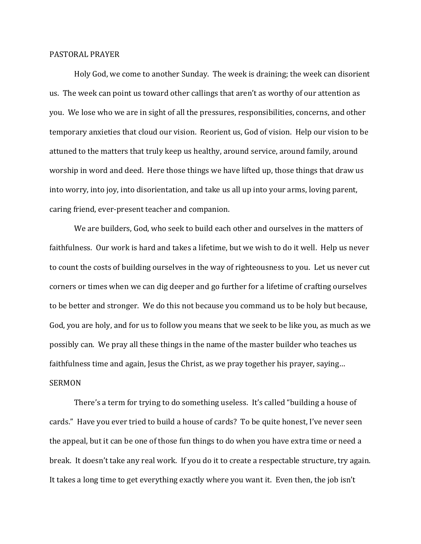## PASTORAL PRAYER

 Holy God, we come to another Sunday. The week is draining; the week can disorient us. The week can point us toward other callings that aren't as worthy of our attention as you. We lose who we are in sight of all the pressures, responsibilities, concerns, and other temporary anxieties that cloud our vision. Reorient us, God of vision. Help our vision to be attuned to the matters that truly keep us healthy, around service, around family, around worship in word and deed. Here those things we have lifted up, those things that draw us into worry, into joy, into disorientation, and take us all up into your arms, loving parent, caring friend, ever-present teacher and companion.

 We are builders, God, who seek to build each other and ourselves in the matters of faithfulness. Our work is hard and takes a lifetime, but we wish to do it well. Help us never to count the costs of building ourselves in the way of righteousness to you. Let us never cut corners or times when we can dig deeper and go further for a lifetime of crafting ourselves to be better and stronger. We do this not because you command us to be holy but because, God, you are holy, and for us to follow you means that we seek to be like you, as much as we possibly can. We pray all these things in the name of the master builder who teaches us faithfulness time and again, Jesus the Christ, as we pray together his prayer, saying… **SERMON** 

 There's a term for trying to do something useless. It's called "building a house of cards." Have you ever tried to build a house of cards? To be quite honest, I've never seen the appeal, but it can be one of those fun things to do when you have extra time or need a break. It doesn't take any real work. If you do it to create a respectable structure, try again. It takes a long time to get everything exactly where you want it. Even then, the job isn't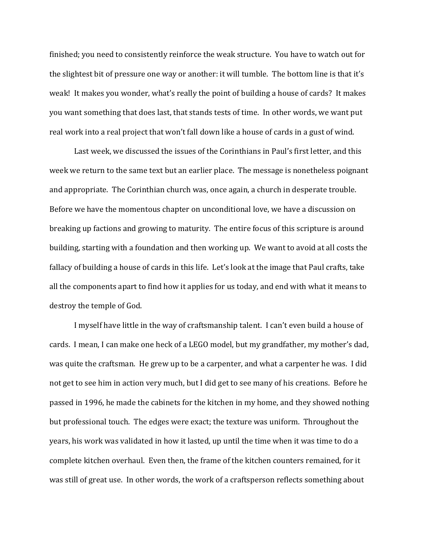finished; you need to consistently reinforce the weak structure. You have to watch out for the slightest bit of pressure one way or another: it will tumble. The bottom line is that it's weak! It makes you wonder, what's really the point of building a house of cards? It makes you want something that does last, that stands tests of time. In other words, we want put real work into a real project that won't fall down like a house of cards in a gust of wind.

 Last week, we discussed the issues of the Corinthians in Paul's first letter, and this week we return to the same text but an earlier place. The message is nonetheless poignant and appropriate. The Corinthian church was, once again, a church in desperate trouble. Before we have the momentous chapter on unconditional love, we have a discussion on breaking up factions and growing to maturity. The entire focus of this scripture is around building, starting with a foundation and then working up. We want to avoid at all costs the fallacy of building a house of cards in this life. Let's look at the image that Paul crafts, take all the components apart to find how it applies for us today, and end with what it means to destroy the temple of God.

I myself have little in the way of craftsmanship talent. I can't even build a house of cards. I mean, I can make one heck of a LEGO model, but my grandfather, my mother's dad, was quite the craftsman. He grew up to be a carpenter, and what a carpenter he was. I did not get to see him in action very much, but I did get to see many of his creations. Before he passed in 1996, he made the cabinets for the kitchen in my home, and they showed nothing but professional touch. The edges were exact; the texture was uniform. Throughout the years, his work was validated in how it lasted, up until the time when it was time to do a complete kitchen overhaul. Even then, the frame of the kitchen counters remained, for it was still of great use. In other words, the work of a craftsperson reflects something about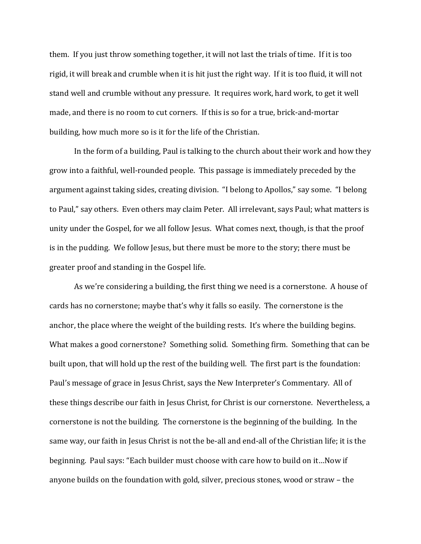them. If you just throw something together, it will not last the trials of time. If it is too rigid, it will break and crumble when it is hit just the right way. If it is too fluid, it will not stand well and crumble without any pressure. It requires work, hard work, to get it well made, and there is no room to cut corners. If this is so for a true, brick-and-mortar building, how much more so is it for the life of the Christian.

 In the form of a building, Paul is talking to the church about their work and how they grow into a faithful, well-rounded people. This passage is immediately preceded by the argument against taking sides, creating division. "I belong to Apollos," say some. "I belong to Paul," say others. Even others may claim Peter. All irrelevant, says Paul; what matters is unity under the Gospel, for we all follow Jesus. What comes next, though, is that the proof is in the pudding. We follow Jesus, but there must be more to the story; there must be greater proof and standing in the Gospel life.

 As we're considering a building, the first thing we need is a cornerstone. A house of cards has no cornerstone; maybe that's why it falls so easily. The cornerstone is the anchor, the place where the weight of the building rests. It's where the building begins. What makes a good cornerstone? Something solid. Something firm. Something that can be built upon, that will hold up the rest of the building well. The first part is the foundation: Paul's message of grace in Jesus Christ, says the New Interpreter's Commentary. All of these things describe our faith in Jesus Christ, for Christ is our cornerstone. Nevertheless, a cornerstone is not the building. The cornerstone is the beginning of the building. In the same way, our faith in Jesus Christ is not the be-all and end-all of the Christian life; it is the beginning. Paul says: "Each builder must choose with care how to build on it…Now if anyone builds on the foundation with gold, silver, precious stones, wood or straw – the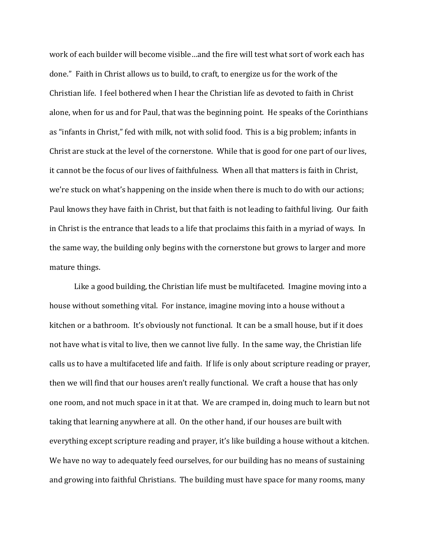work of each builder will become visible…and the fire will test what sort of work each has done." Faith in Christ allows us to build, to craft, to energize us for the work of the Christian life. I feel bothered when I hear the Christian life as devoted to faith in Christ alone, when for us and for Paul, that was the beginning point. He speaks of the Corinthians as "infants in Christ," fed with milk, not with solid food. This is a big problem; infants in Christ are stuck at the level of the cornerstone. While that is good for one part of our lives, it cannot be the focus of our lives of faithfulness. When all that matters is faith in Christ, we're stuck on what's happening on the inside when there is much to do with our actions; Paul knows they have faith in Christ, but that faith is not leading to faithful living. Our faith in Christ is the entrance that leads to a life that proclaims this faith in a myriad of ways. In the same way, the building only begins with the cornerstone but grows to larger and more mature things.

 Like a good building, the Christian life must be multifaceted. Imagine moving into a house without something vital. For instance, imagine moving into a house without a kitchen or a bathroom. It's obviously not functional. It can be a small house, but if it does not have what is vital to live, then we cannot live fully. In the same way, the Christian life calls us to have a multifaceted life and faith. If life is only about scripture reading or prayer, then we will find that our houses aren't really functional. We craft a house that has only one room, and not much space in it at that. We are cramped in, doing much to learn but not taking that learning anywhere at all. On the other hand, if our houses are built with everything except scripture reading and prayer, it's like building a house without a kitchen. We have no way to adequately feed ourselves, for our building has no means of sustaining and growing into faithful Christians. The building must have space for many rooms, many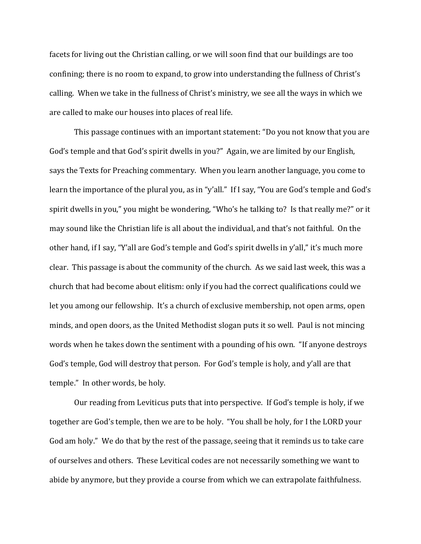facets for living out the Christian calling, or we will soon find that our buildings are too confining; there is no room to expand, to grow into understanding the fullness of Christ's calling. When we take in the fullness of Christ's ministry, we see all the ways in which we are called to make our houses into places of real life.

 This passage continues with an important statement: "Do you not know that you are God's temple and that God's spirit dwells in you?" Again, we are limited by our English, says the Texts for Preaching commentary. When you learn another language, you come to learn the importance of the plural you, as in "y'all." If I say, "You are God's temple and God's spirit dwells in you," you might be wondering, "Who's he talking to? Is that really me?" or it may sound like the Christian life is all about the individual, and that's not faithful. On the other hand, if I say, "Y'all are God's temple and God's spirit dwells in y'all," it's much more clear. This passage is about the community of the church. As we said last week, this was a church that had become about elitism: only if you had the correct qualifications could we let you among our fellowship. It's a church of exclusive membership, not open arms, open minds, and open doors, as the United Methodist slogan puts it so well. Paul is not mincing words when he takes down the sentiment with a pounding of his own. "If anyone destroys God's temple, God will destroy that person. For God's temple is holy, and y'all are that temple." In other words, be holy.

 Our reading from Leviticus puts that into perspective. If God's temple is holy, if we together are God's temple, then we are to be holy. "You shall be holy, for I the LORD your God am holy." We do that by the rest of the passage, seeing that it reminds us to take care of ourselves and others. These Levitical codes are not necessarily something we want to abide by anymore, but they provide a course from which we can extrapolate faithfulness.